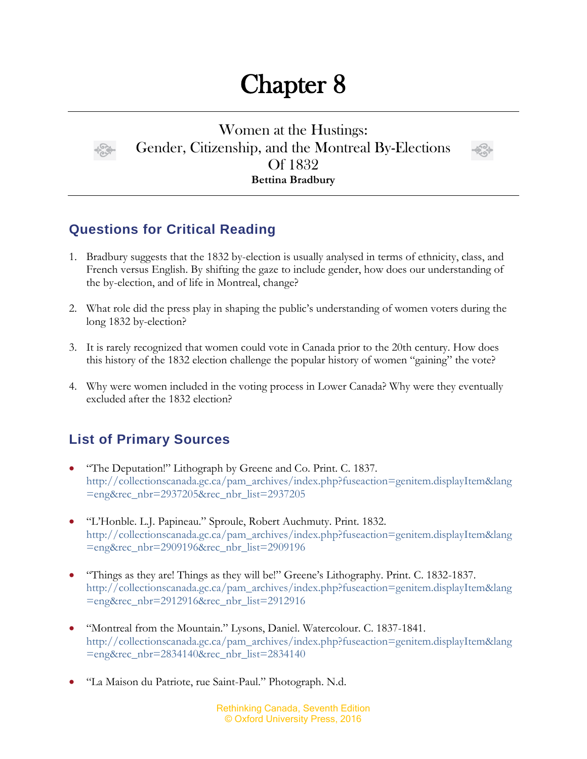## Chapter 8



Women at the Hustings: Gender, Citizenship, and the Montreal By-Elections Of 1832 **Bettina Bradbury**



## **Questions for Critical Reading**

- 1. Bradbury suggests that the 1832 by-election is usually analysed in terms of ethnicity, class, and French versus English. By shifting the gaze to include gender, how does our understanding of the by-election, and of life in Montreal, change?
- 2. What role did the press play in shaping the public's understanding of women voters during the long 1832 by-election?
- 3. It is rarely recognized that women could vote in Canada prior to the 20th century. How does this history of the 1832 election challenge the popular history of women "gaining" the vote?
- 4. Why were women included in the voting process in Lower Canada? Why were they eventually excluded after the 1832 election?

## **List of Primary Sources**

- "The Deputation!" Lithograph by Greene and Co. Print. C. 1837. [http://collectionscanada.gc.ca/pam\\_archives/index.php?fuseaction=genitem.displayItem&lang](http://collectionscanada.gc.ca/pam_archives/index.php?fuseaction=genitem.displayItem&lang=eng&rec_nbr=2937205&rec_nbr_list=2937205) [=eng&rec\\_nbr=2937205&rec\\_nbr\\_list=2937205](http://collectionscanada.gc.ca/pam_archives/index.php?fuseaction=genitem.displayItem&lang=eng&rec_nbr=2937205&rec_nbr_list=2937205)
- "L'Honble. L.J. Papineau." Sproule, Robert Auchmuty. Print. 1832. [http://collectionscanada.gc.ca/pam\\_archives/index.php?fuseaction=genitem.displayItem&lang](http://collectionscanada.gc.ca/pam_archives/index.php?fuseaction=genitem.displayItem&lang=eng&rec_nbr=2909196&rec_nbr_list=2909196) [=eng&rec\\_nbr=2909196&rec\\_nbr\\_list=2909196](http://collectionscanada.gc.ca/pam_archives/index.php?fuseaction=genitem.displayItem&lang=eng&rec_nbr=2909196&rec_nbr_list=2909196)
- "Things as they are! Things as they will be!" Greene's Lithography. Print. C. 1832-1837. [http://collectionscanada.gc.ca/pam\\_archives/index.php?fuseaction=genitem.displayItem&lang](http://collectionscanada.gc.ca/pam_archives/index.php?fuseaction=genitem.displayItem&lang=eng&rec_nbr=2912916&rec_nbr_list=2912916) [=eng&rec\\_nbr=2912916&rec\\_nbr\\_list=2912916](http://collectionscanada.gc.ca/pam_archives/index.php?fuseaction=genitem.displayItem&lang=eng&rec_nbr=2912916&rec_nbr_list=2912916)
- "Montreal from the Mountain." Lysons, Daniel. Watercolour. C. 1837-1841. [http://collectionscanada.gc.ca/pam\\_archives/index.php?fuseaction=genitem.displayItem&lang](http://collectionscanada.gc.ca/pam_archives/index.php?fuseaction=genitem.displayItem&lang=eng&rec_nbr=2834140&rec_nbr_list=2834140) [=eng&rec\\_nbr=2834140&rec\\_nbr\\_list=2834140](http://collectionscanada.gc.ca/pam_archives/index.php?fuseaction=genitem.displayItem&lang=eng&rec_nbr=2834140&rec_nbr_list=2834140)
- "La Maison du Patriote, rue Saint-Paul." Photograph. N.d.